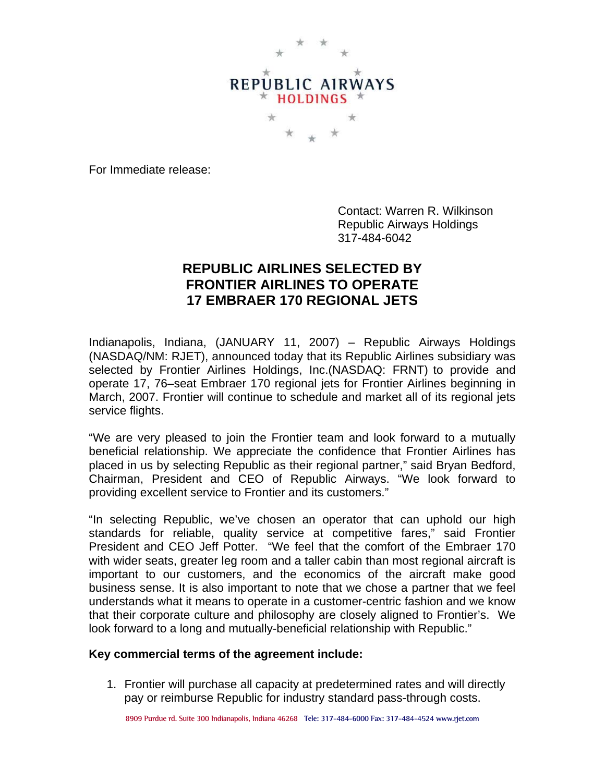

For Immediate release:

 Contact: Warren R. Wilkinson Republic Airways Holdings 317-484-6042

## **REPUBLIC AIRLINES SELECTED BY FRONTIER AIRLINES TO OPERATE 17 EMBRAER 170 REGIONAL JETS**

Indianapolis, Indiana, (JANUARY 11, 2007) – Republic Airways Holdings (NASDAQ/NM: RJET), announced today that its Republic Airlines subsidiary was selected by Frontier Airlines Holdings, Inc.(NASDAQ: FRNT) to provide and operate 17, 76–seat Embraer 170 regional jets for Frontier Airlines beginning in March, 2007. Frontier will continue to schedule and market all of its regional jets service flights.

"We are very pleased to join the Frontier team and look forward to a mutually beneficial relationship. We appreciate the confidence that Frontier Airlines has placed in us by selecting Republic as their regional partner," said Bryan Bedford, Chairman, President and CEO of Republic Airways. "We look forward to providing excellent service to Frontier and its customers."

"In selecting Republic, we've chosen an operator that can uphold our high standards for reliable, quality service at competitive fares," said Frontier President and CEO Jeff Potter. "We feel that the comfort of the Embraer 170 with wider seats, greater leg room and a taller cabin than most regional aircraft is important to our customers, and the economics of the aircraft make good business sense. It is also important to note that we chose a partner that we feel understands what it means to operate in a customer-centric fashion and we know that their corporate culture and philosophy are closely aligned to Frontier's. We look forward to a long and mutually-beneficial relationship with Republic."

## **Key commercial terms of the agreement include:**

1. Frontier will purchase all capacity at predetermined rates and will directly pay or reimburse Republic for industry standard pass-through costs.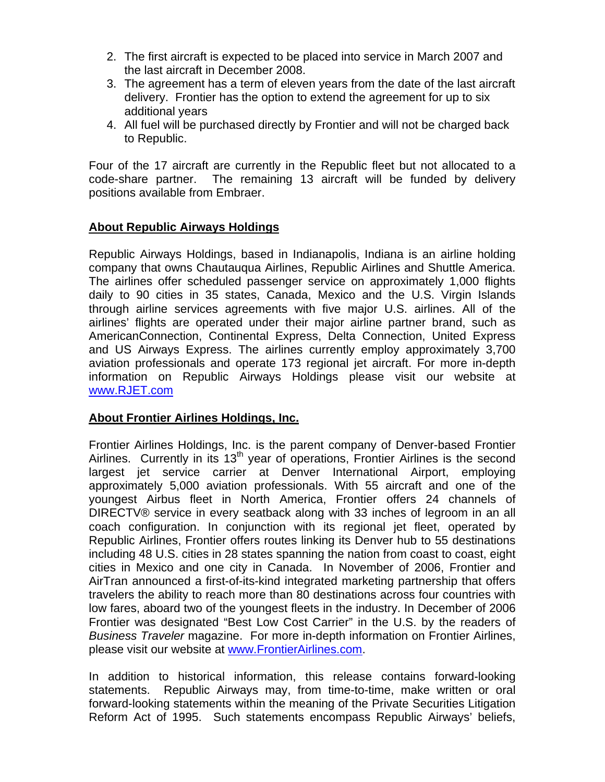- 2. The first aircraft is expected to be placed into service in March 2007 and the last aircraft in December 2008.
- 3. The agreement has a term of eleven years from the date of the last aircraft delivery. Frontier has the option to extend the agreement for up to six additional years
- 4. All fuel will be purchased directly by Frontier and will not be charged back to Republic.

Four of the 17 aircraft are currently in the Republic fleet but not allocated to a code-share partner. The remaining 13 aircraft will be funded by delivery positions available from Embraer.

## **About Republic Airways Holdings**

Republic Airways Holdings, based in Indianapolis, Indiana is an airline holding company that owns Chautauqua Airlines, Republic Airlines and Shuttle America. The airlines offer scheduled passenger service on approximately 1,000 flights daily to 90 cities in 35 states, Canada, Mexico and the U.S. Virgin Islands through airline services agreements with five major U.S. airlines. All of the airlines' flights are operated under their major airline partner brand, such as AmericanConnection, Continental Express, Delta Connection, United Express and US Airways Express. The airlines currently employ approximately 3,700 aviation professionals and operate 173 regional jet aircraft. For more in-depth information on Republic Airways Holdings please visit our website at www.RJET.com

## **About Frontier Airlines Holdings, Inc.**

Frontier Airlines Holdings, Inc. is the parent company of Denver-based Frontier Airlines. Currently in its  $13<sup>th</sup>$  year of operations, Frontier Airlines is the second largest jet service carrier at Denver International Airport, employing approximately 5,000 aviation professionals. With 55 aircraft and one of the youngest Airbus fleet in North America, Frontier offers 24 channels of DIRECTV® service in every seatback along with 33 inches of legroom in an all coach configuration. In conjunction with its regional jet fleet, operated by Republic Airlines, Frontier offers routes linking its Denver hub to 55 destinations including 48 U.S. cities in 28 states spanning the nation from coast to coast, eight cities in Mexico and one city in Canada. In November of 2006, Frontier and AirTran announced a first-of-its-kind integrated marketing partnership that offers travelers the ability to reach more than 80 destinations across four countries with low fares, aboard two of the youngest fleets in the industry. In December of 2006 Frontier was designated "Best Low Cost Carrier" in the U.S. by the readers of *Business Traveler* magazine. For more in-depth information on Frontier Airlines, please visit our website at www.FrontierAirlines.com.

In addition to historical information, this release contains forward-looking statements. Republic Airways may, from time-to-time, make written or oral forward-looking statements within the meaning of the Private Securities Litigation Reform Act of 1995. Such statements encompass Republic Airways' beliefs,